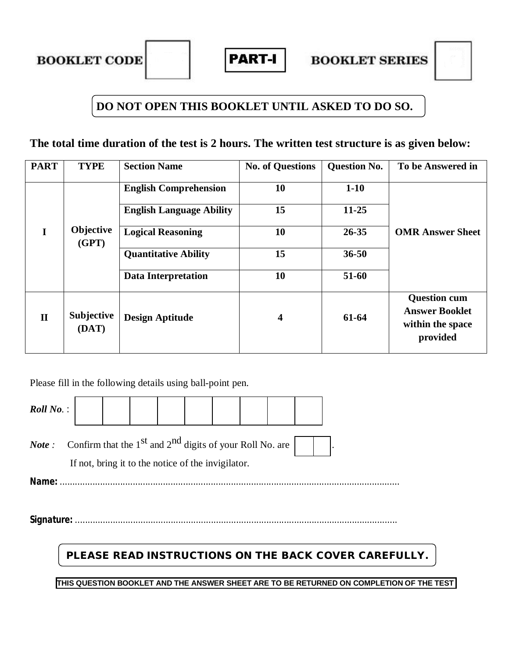**BOOKLET CODE** 

**BOOKLET SERIES** 



# **DO NOT OPEN THIS BOOKLET UNTIL ASKED TO DO SO.**

**PART-I** 

### **The total time duration of the test is 2 hours. The written test structure is as given below:**

| <b>PART</b>  | <b>TYPE</b>         | <b>Section Name</b>             | <b>No. of Questions</b> | <b>Question No.</b> | To be Answered in                                                            |
|--------------|---------------------|---------------------------------|-------------------------|---------------------|------------------------------------------------------------------------------|
|              |                     | <b>English Comprehension</b>    | 10                      | $1-10$              |                                                                              |
|              | Objective<br>(GPT)  | <b>English Language Ability</b> | 15                      | $11 - 25$           |                                                                              |
|              |                     | <b>Logical Reasoning</b>        | 10                      | $26 - 35$           | <b>OMR Answer Sheet</b>                                                      |
|              |                     | <b>Quantitative Ability</b>     | 15                      | $36 - 50$           |                                                                              |
|              |                     | <b>Data Interpretation</b>      | 10                      | 51-60               |                                                                              |
| $\mathbf{I}$ | Subjective<br>(DAT) | <b>Design Aptitude</b>          | $\overline{\mathbf{4}}$ | 61-64               | <b>Question cum</b><br><b>Answer Booklet</b><br>within the space<br>provided |

Please fill in the following details using ball-point pen.

*Roll No. :* 

*Note* : Confirm that the 1<sup>st</sup> and  $2<sup>nd</sup>$  digits of your Roll No. are

If not, bring it to the notice of the invigilator.

*Name:* .......................................................................................................................................

*Signature:* ................................................................................................................................

## **PLEASE READ INSTRUCTIONS ON THE BACK COVER CAREFULLY.**

**THIS QUESTION BOOKLET AND THE ANSWER SHEET ARE TO BE RETURNED ON COMPLETION OF THE TEST**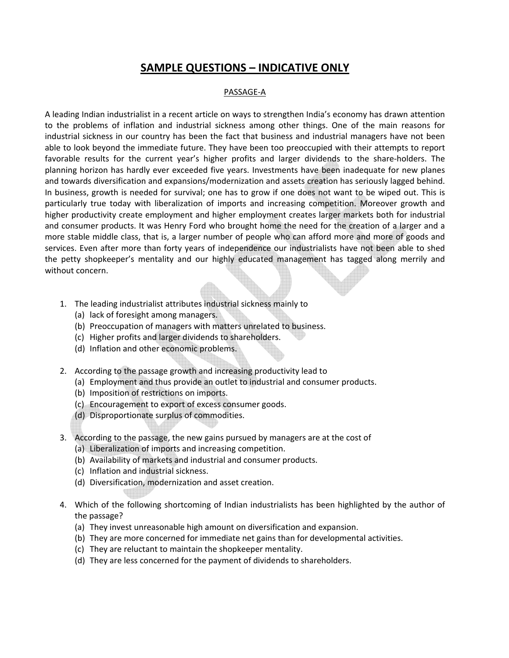## **SAMPLE QUESTIONS – INDICATIVE ONLY**

#### PASSAGE‐A

A leading Indian industrialist in a recent article on ways to strengthen India's economy has drawn attention to the problems of inflation and industrial sickness among other things. One of the main reasons for industrial sickness in our country has been the fact that business and industrial managers have not been able to look beyond the immediate future. They have been too preoccupied with their attempts to report favorable results for the current year's higher profits and larger dividends to the share-holders. The planning horizon has hardly ever exceeded five years. Investments have been inadequate for new planes and towards diversification and expansions/modernization and assets creation has seriously lagged behind. In business, growth is needed for survival; one has to grow if one does not want to be wiped out. This is particularly true today with liberalization of imports and increasing competition. Moreover growth and higher productivity create employment and higher employment creates larger markets both for industrial and consumer products. It was Henry Ford who brought home the need for the creation of a larger and a more stable middle class, that is, a larger number of people who can afford more and more of goods and services. Even after more than forty years of independence our industrialists have not been able to shed the petty shopkeeper's mentality and our highly educated management has tagged along merrily and without concern.

- 1. The leading industrialist attributes industrial sickness mainly to
	- (a) lack of foresight among managers.
	- (b) Preoccupation of managers with matters unrelated to business.
	- (c) Higher profits and larger dividends to shareholders.
	- (d) Inflation and other economic problems.
- 2. According to the passage growth and increasing productivity lead to
	- (a) Employment and thus provide an outlet to industrial and consumer products.
	- (b) Imposition of restrictions on imports.
	- (c) Encouragement to export of excess consumer goods.
	- (d) Disproportionate surplus of commodities.
- 3. According to the passage, the new gains pursued by managers are at the cost of
	- (a) Liberalization of imports and increasing competition.
	- (b) Availability of markets and industrial and consumer products.
	- (c) Inflation and industrial sickness.
	- (d) Diversification, modernization and asset creation.
- 4. Which of the following shortcoming of Indian industrialists has been highlighted by the author of the passage?
	- (a) They invest unreasonable high amount on diversification and expansion.
	- (b) They are more concerned for immediate net gains than for developmental activities.
	- (c) They are reluctant to maintain the shopkeeper mentality.
	- (d) They are less concerned for the payment of dividends to shareholders.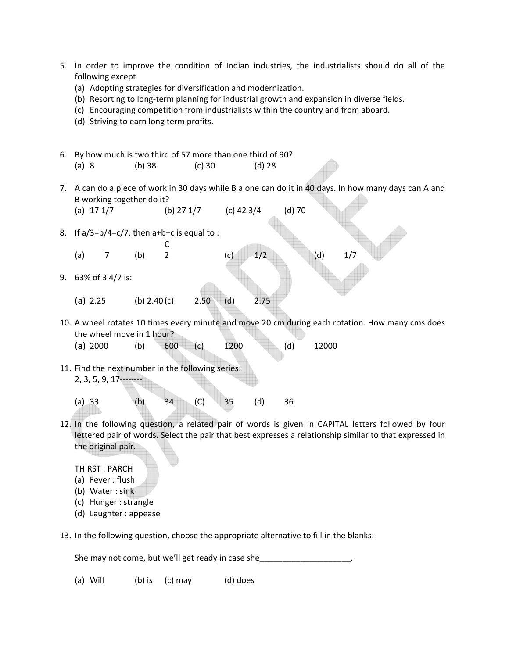|                  |  |  |  | 5. In order to improve the condition of Indian industries, the industrialists should do all of the |  |  |  |
|------------------|--|--|--|----------------------------------------------------------------------------------------------------|--|--|--|
| following except |  |  |  |                                                                                                    |  |  |  |

- (a) Adopting strategies for diversification and modernization.
- (b) Resorting to long‐term planning for industrial growth and expansion in diverse fields.
- (c) Encouraging competition from industrialists within the country and from aboard.
- (d) Striving to earn long term profits.
- 6. By how much is two third of 57 more than one third of 90? (a) 8 (b) 38 (c) 30 (d) 28 7. A can do a piece of work in 30 days while B alone can do it in 40 days. In how many days can A and B working together do it? (a)  $17 \frac{1}{7}$  (b)  $27 \frac{1}{7}$  (c)  $42 \frac{3}{4}$  (d) 70 8. If  $a/3=b/4=c/7$ , then  $a+b+c$  is equal to : C (a) 7 (b) 2 (c)  $1/2$  (d)  $1/7$ 9. 63% of 3 4/7 is: (a) 2.25 (b) 2.40 (c) 2.50 (d) 2.75 10. A wheel rotates 10 times every minute and move 20 cm during each rotation. How many cms does the wheel move in 1 hour? (a) 2000 (b) 600 (c) 1200 (d) 12000 11. Find the next number in the following series: 2, 3, 5, 9, 17‐‐‐‐‐‐‐‐ (a) 33 (b) 34 (C) 35 (d) 36 12. In the following question, a related pair of words is given in CAPITAL letters followed by four lettered pair of words. Select the pair that best expresses a relationship similar to that expressed in
	- the original pair.
	- THIRST : PARCH
	- (a) Fever : flush
	- (b) Water : sink
	- (c) Hunger : strangle
	- (d) Laughter : appease
- 13. In the following question, choose the appropriate alternative to fill in the blanks:

She may not come, but we'll get ready in case she

(a) Will  $\qquad$  (b) is  $\qquad$  (c) may  $\qquad$  (d) does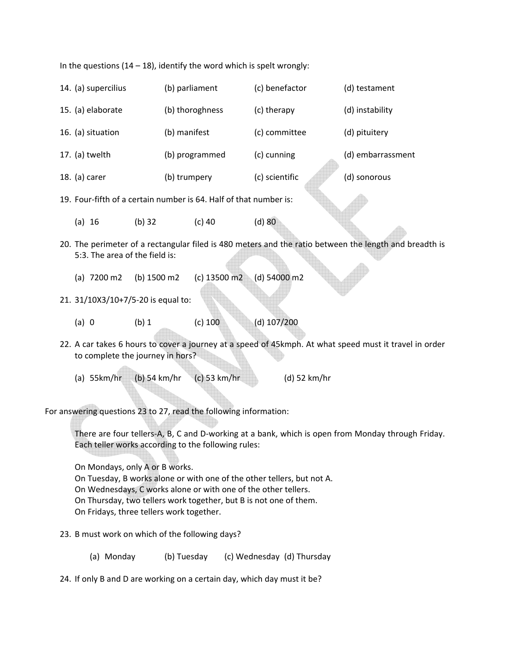In the questions  $(14 - 18)$ , identify the word which is spelt wrongly:

| 14. (a) supercilius | (b) parliament  | (c) benefactor | (d) testament     |
|---------------------|-----------------|----------------|-------------------|
| 15. (a) elaborate   | (b) thoroghness | (c) therapy    | (d) instability   |
| 16. (a) situation   | (b) manifest    | (c) committee  | (d) pituitery     |
| 17. (a) twelth      | (b) programmed  | (c) cunning    | (d) embarrassment |
| 18. (a) carer       | (b) trumpery    | (c) scientific | (d) sonorous      |

- 19. Four-fifth of a certain number is 64. Half of that number is:
	- (a)  $16$  (b) 32 (c) 40 (d) 80
- 20. The perimeter of a rectangular filed is 480 meters and the ratio between the length and breadth is 5:3. The area of the field is:
	- (a) 7200 m2 (b) 1500 m2 (c) 13500 m2 (d) 54000 m2
- 21. 31/10X3/10+7/5‐20 is equal to:
	- (a) 0 (b) 1 (c) 100 (d) 107/200
- 22. A car takes 6 hours to cover a journey at a speed of 45kmph. At what speed must it travel in order to complete the journey in hors?
	- (a) 55km/hr (b) 54 km/hr (c) 53 km/hr (d) 52 km/hr

For answering questions 23 to 27, read the following information:

There are four tellers‐A, B, C and D‐working at a bank, which is open from Monday through Friday. Each teller works according to the following rules:

On Mondays, only A or B works.

On Tuesday, B works alone or with one of the other tellers, but not A. On Wednesdays, C works alone or with one of the other tellers. On Thursday, two tellers work together, but B is not one of them. On Fridays, three tellers work together.

- 23. B must work on which of the following days?
	- (a) Monday (b) Tuesday (c) Wednesday (d) Thursday

24. If only B and D are working on a certain day, which day must it be?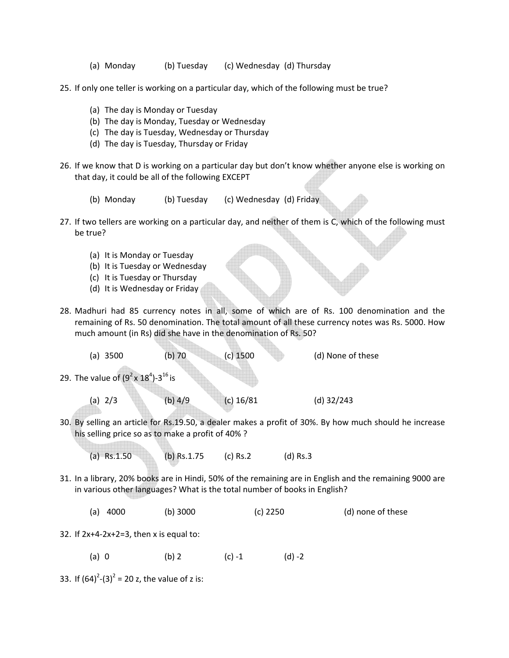(a) Monday (b) Tuesday (c) Wednesday (d) Thursday

25. If only one teller is working on a particular day, which of the following must be true?

- (a) The day is Monday or Tuesday
- (b) The day is Monday, Tuesday or Wednesday
- (c) The day is Tuesday, Wednesday or Thursday
- (d) The day is Tuesday, Thursday or Friday
- 26. If we know that D is working on a particular day but don't know whether anyone else is working on that day, it could be all of the following EXCEPT
	- (b) Monday (b) Tuesday (c) Wednesday (d) Friday
- 27. If two tellers are working on a particular day, and neither of them is C, which of the following must be true?
	- (a) It is Monday or Tuesday
	- (b) It is Tuesday or Wednesday
	- (c) It is Tuesday or Thursday
	- (d) It is Wednesday or Friday
- 28. Madhuri had 85 currency notes in all, some of which are of Rs. 100 denomination and the remaining of Rs. 50 denomination. The total amount of all these currency notes was Rs. 5000. How much amount (in Rs) did she have in the denomination of Rs. 50?

| (a) 3500                                                 | (b) 70    | $(c)$ 1500 | (d) None of these |
|----------------------------------------------------------|-----------|------------|-------------------|
| 29. The value of $(9^2 \times 18^4)$ -3 <sup>16</sup> is |           |            |                   |
| (a) $2/3$                                                | (b) $4/9$ | (c) 16/81  | (d) $32/243$      |

30. By selling an article for Rs.19.50, a dealer makes a profit of 30%. By how much should he increase his selling price so as to make a profit of 40% ?

(a) Rs.1.50 (b) Rs.1.75 (c) Rs.2 (d) Rs.3

<u>di ind</u>

- 31. In a library, 20% books are in Hindi, 50% of the remaining are in English and the remaining 9000 are in various other languages? What is the total number of books in English?
	- (a) 4000 (b) 3000 (c) 2250 (d) none of these
- 32. If 2x+4‐2x+2=3, then x is equal to:
	- (a) 0 (b) 2 (c)  $-1$  (d)  $-2$
- 33. If  $(64)^2$ - $(3)^2$  = 20 z, the value of z is: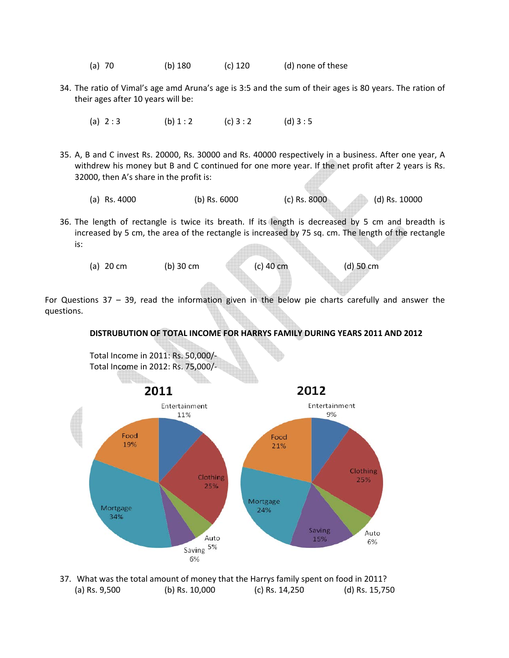- (a) 70 (b) 180 (c) 120 (d) none of these
- 34. The ratio of Vimal's age amd Aruna's age is 3:5 and the sum of their ages is 80 years. The ration of their ages after 10 years will be:
	- (a)  $2:3$  (b)  $1:2$  (c)  $3:2$  (d)  $3:5$
- 35. A, B and C invest Rs. 20000, Rs. 30000 and Rs. 40000 respectively in a business. After one year, A withdrew his money but B and C continued for one more year. If the net profit after 2 years is Rs. 32000, then A's share in the profit is:
	- (a) Rs. 4000 (b) Rs. 6000 (c) Rs. 8000 (d) Rs. 10000
- 36. The length of rectangle is twice its breath. If its length is decreased by 5 cm and breadth is increased by 5 cm, the area of the rectangle is increased by 75 sq. cm. The length of the rectangle is:
	- (a) 20 cm (b) 30 cm (c) 40 cm (d) 50 cm

For Questions 37 – 39, read the information given in the below pie charts carefully and answer the questions.

#### **DISTRUBUTION OF TOTAL INCOME FOR HARRYS FAMILY DURING YEARS 2011 AND 2012**

Total Income in 2011: Rs. 50,000/‐ Total Income in 2012: Rs. 75,000/‐



37. What was the total amount of money that the Harrys family spent on food in 2011? (a) Rs. 9,500 (b) Rs. 10,000 (c) Rs. 14,250 (d) Rs. 15,750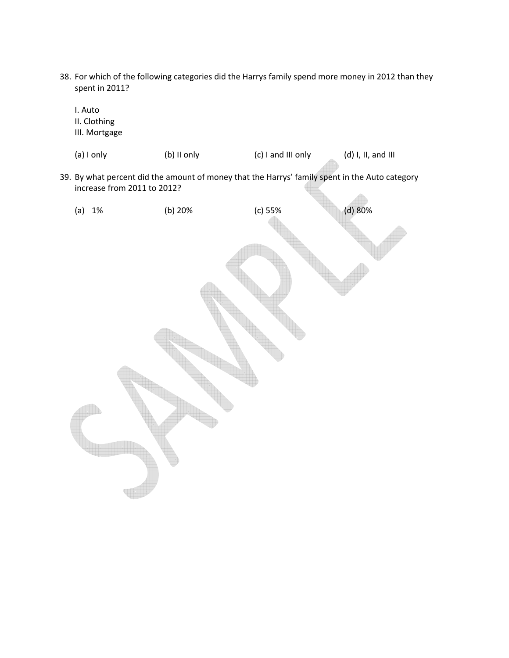38. For which of the following categories did the Harrys family spend more money in 2012 than they spent in 2011?

I. Auto II. Clothing III. Mortgage (a) I only  $($  (b) II only  $($  (c) I and III only  $($  d) I, II, and III 39. By what percent did the amount of money that the Harrys' family spent in the Auto category increase from 2011 to 2012? (a) 1% (b) 20% (c) 55% (d) 80%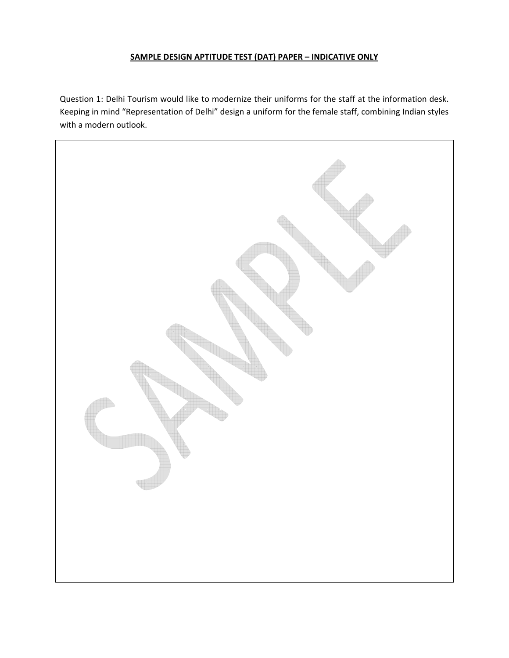#### **SAMPLE DESIGN APTITUDE TEST (DAT) PAPER – INDICATIVE ONLY**

Question 1: Delhi Tourism would like to modernize their uniforms for the staff at the information desk. Keeping in mind "Representation of Delhi" design a uniform for the female staff, combining Indian styles with a modern outlook.

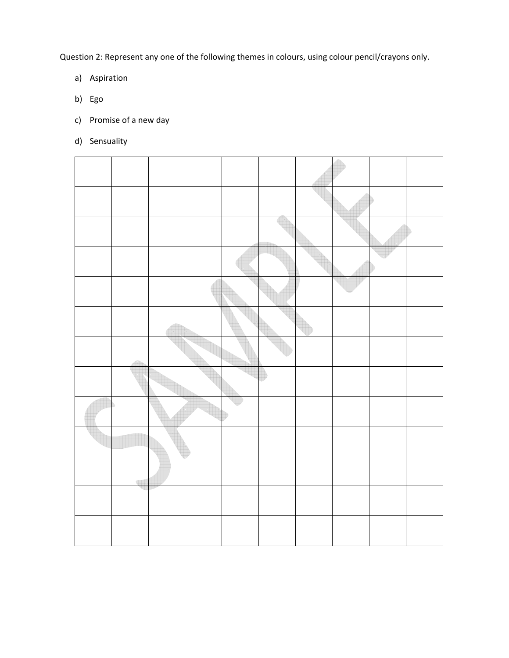Question 2: Represent any one of the following themes in colours, using colour pencil/crayons only.

- a) Aspiration
- b) Ego
- c) Promise of a new day
- d) Sensuality

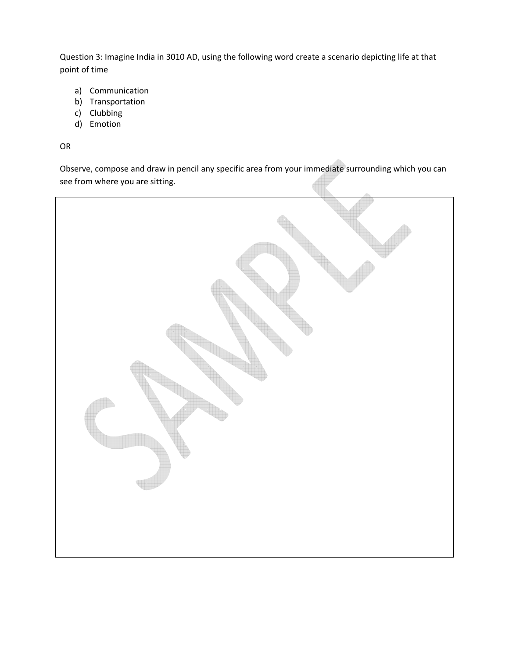Question 3: Imagine India in 3010 AD, using the following word create a scenario depicting life at that point of time

- a) Communication
- b) Transportation
- c) Clubbing
- d) Emotion

OR

Observe, compose and draw in pencil any specific area from your immediate surrounding which you can see from where you are sitting.

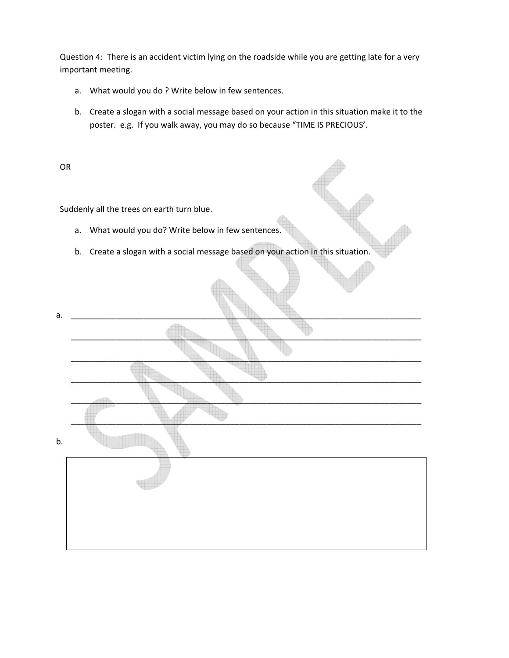Question 4: There is an accident victim lying on the roadside while you are getting late for a very important meeting.

- a. What would you do ? Write below in few sentences.
- b. Create a slogan with a social message based on your action in this situation make it to the poster. e.g. If you walk away, you may do so because "TIME IS PRECIOUS'.

OR

Suddenly all the trees on earth turn blue.

- a. What would you do? Write below in few sentences.
- b. Create a slogan with a social message based on your action in this situation.

| а. |  |
|----|--|
|    |  |
|    |  |
|    |  |
|    |  |
|    |  |
| b. |  |
|    |  |
|    |  |
|    |  |
|    |  |
|    |  |